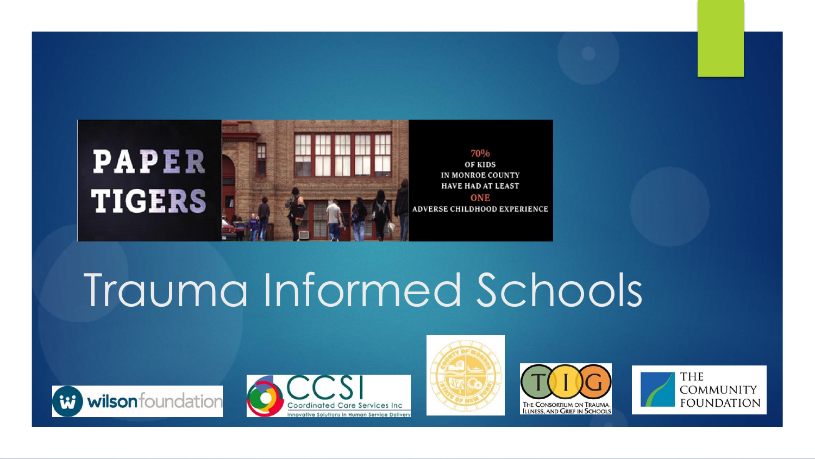

# Trauma Informed Schools









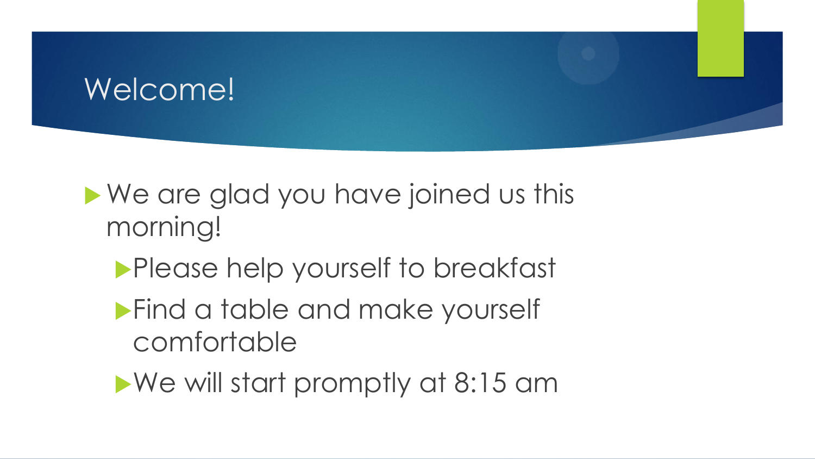### Welcome!

### ▶ We are glad you have joined us this morning!

- **Please help yourself to breakfast**
- **Find a table and make yourself** comfortable
- We will start promptly at 8:15 am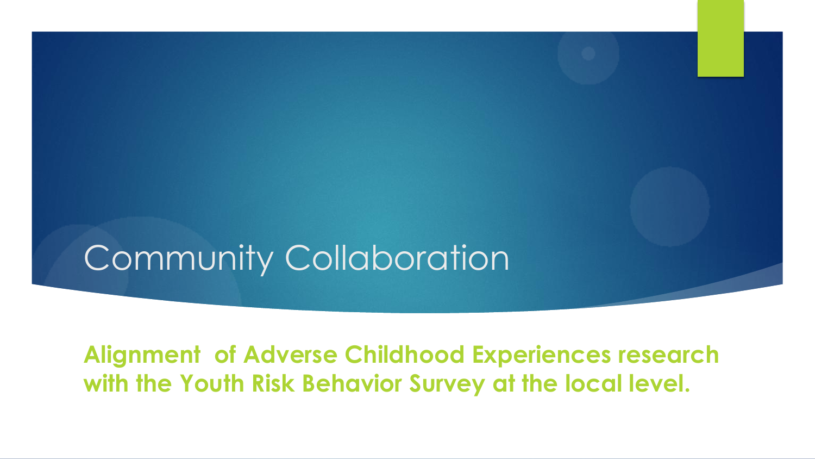# Community Collaboration

**Alignment of Adverse Childhood Experiences research with the Youth Risk Behavior Survey at the local level.**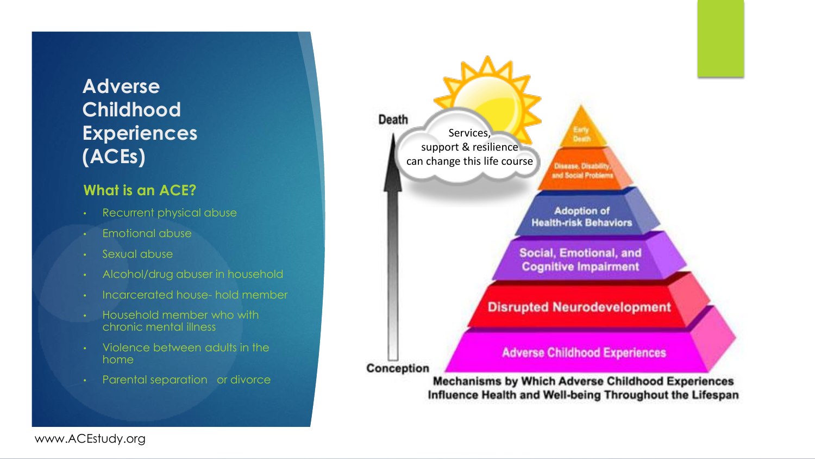### **Adverse Childhood Experiences (ACEs)**

#### **What is an ACE?**

- Recurrent physical abuse
- Emotional abuse
- Sexual abuse
- Alcohol/drug abuser in household
- Incarcerated house- hold member
- Household member who with chronic mental illness
- Violence between adults in the home
- Parental separation or divorce



www.ACEstudy.org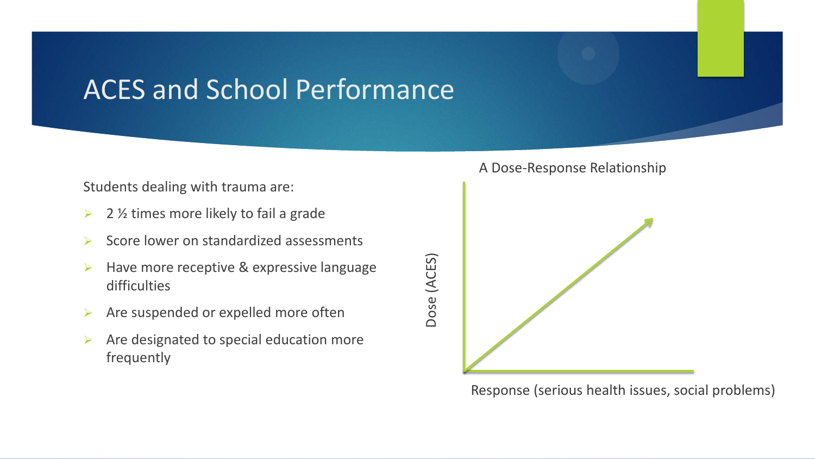### ACES and School Performance

#### Students dealing with trauma are:

- $\geq$  2 % times more likely to fail a grade
- Score lower on standardized assessments
- $\triangleright$  Have more receptive & expressive language difficulties
- $\triangleright$  Are suspended or expelled more often
- $\triangleright$  Are designated to special education more frequently

#### A Dose-Response Relationship



Response (serious health issues, social problems)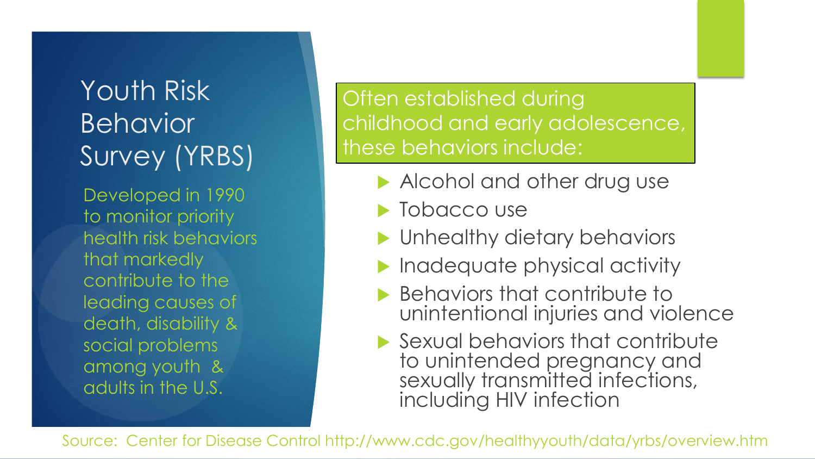### Youth Risk Behavior Survey (YRBS)

Developed in 1990 to monitor priority health risk behaviors that markedly contribute to the leading causes of death, disability & social problems among youth & adults in the U.S.

Often established during childhood and early adolescence, these behaviors include:

- Alcohol and other drug use
- **Tobacco use**
- **Inhealthy dietary behaviors**
- Inadequate physical activity
- **Behaviors that contribute to** unintentional injuries and violence
- ▶ Sexual behaviors that contribute to unintended pregnancy and sexually transmitted infections, including HIV infection

Source: Center for Disease Control http://www.cdc.gov/healthyyouth/data/yrbs/overview.htm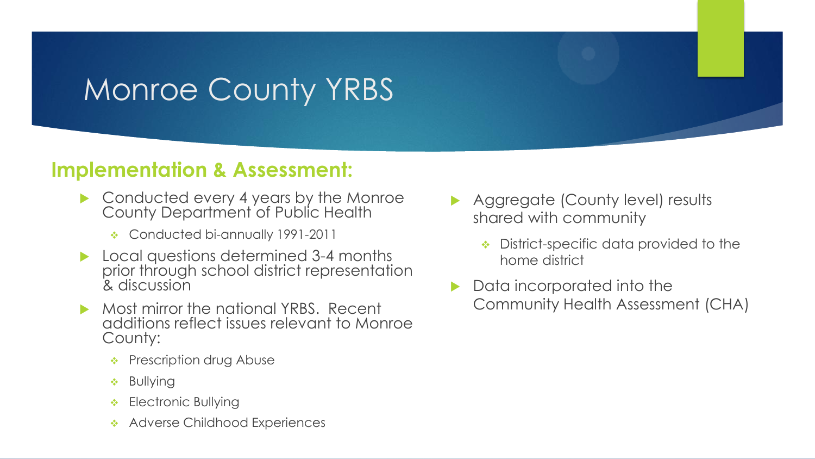## Monroe County YRBS

### **Implementation & Assessment:**

- ▶ Conducted every 4 years by the Monroe County Department of Public Health
	- ◆ Conducted bi-annually 1991-2011
- Local questions determined 3-4 months prior through school district representation & discussion
- Most mirror the national YRBS. Recent additions reflect issues relevant to Monroe County:
	- Prescription drug Abuse
	- Bullying
	- ❖ Electronic Bullying
	- Adverse Childhood Experiences
- Aggregate (County level) results shared with community
	- District-specific data provided to the home district
- **Data incorporated into the** Community Health Assessment (CHA)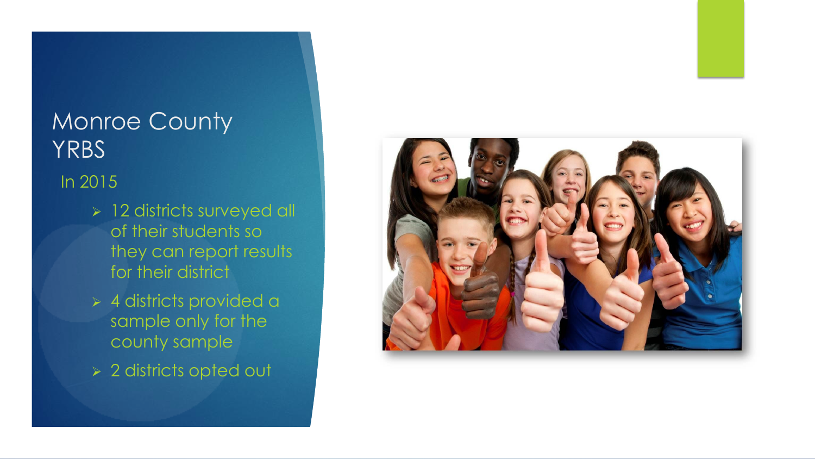### Monroe County YRBS

### In 2015

- > 12 districts surveyed all of their students so they can report results for their district
- 4 districts provided a sample only for the county sample
- 2 districts opted out

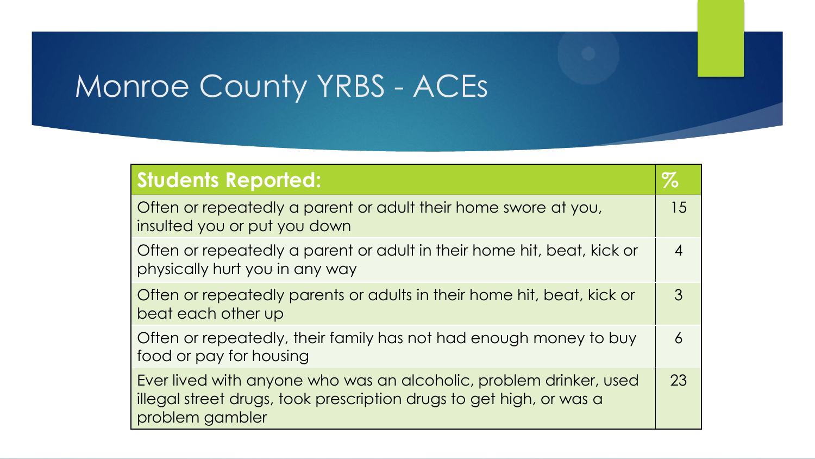## Monroe County YRBS - ACEs

| <b>Students Reported:</b>                                                                                                                                    | $\%$             |
|--------------------------------------------------------------------------------------------------------------------------------------------------------------|------------------|
| Often or repeatedly a parent or adult their home swore at you,<br>insulted you or put you down                                                               | 15               |
| Often or repeatedly a parent or adult in their home hit, beat, kick or<br>physically hurt you in any way                                                     | $\boldsymbol{4}$ |
| Often or repeatedly parents or adults in their home hit, beat, kick or<br>beat each other up                                                                 | $\mathcal{S}$    |
| Often or repeatedly, their family has not had enough money to buy<br>food or pay for housing                                                                 | 6                |
| Ever lived with anyone who was an alcoholic, problem drinker, used<br>illegal street drugs, took prescription drugs to get high, or was a<br>problem gambler | 23               |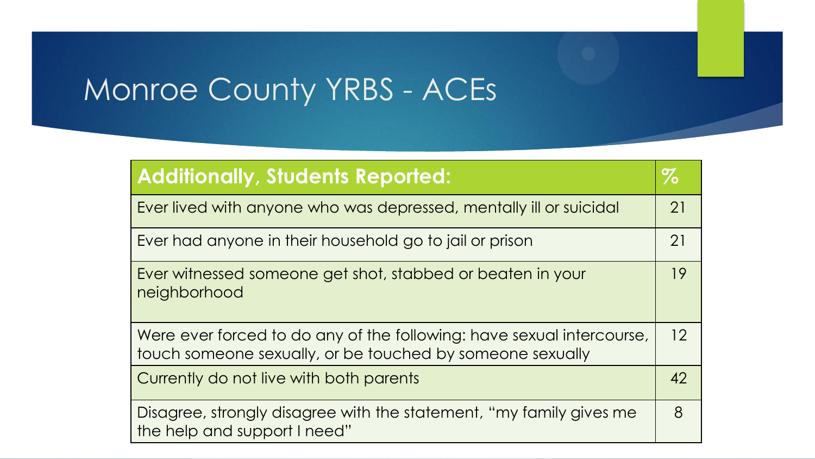# Monroe County YRBS - ACEs

| <b>Additionally, Students Reported:</b>                                                                                            | $\%$ |
|------------------------------------------------------------------------------------------------------------------------------------|------|
| Ever lived with anyone who was depressed, mentally ill or suicidal                                                                 | 21   |
| Ever had anyone in their household go to jail or prison                                                                            | 21   |
| Ever witnessed someone get shot, stabbed or beaten in your<br>neighborhood                                                         | 19   |
| Were ever forced to do any of the following: have sexual intercourse,<br>touch someone sexually, or be touched by someone sexually | 12   |
| Currently do not live with both parents                                                                                            | 42   |
| Disagree, strongly disagree with the statement, "my family gives me<br>the help and support I need"                                | 8    |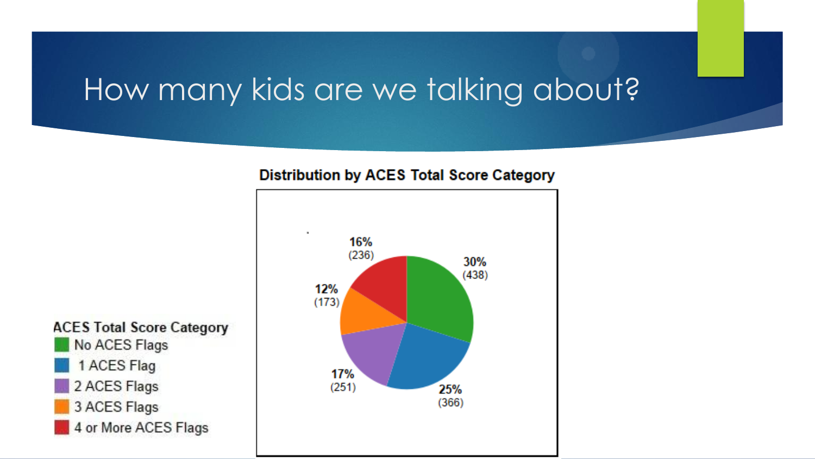### How many kids are we talking about?

#### **Distribution by ACES Total Score Category**



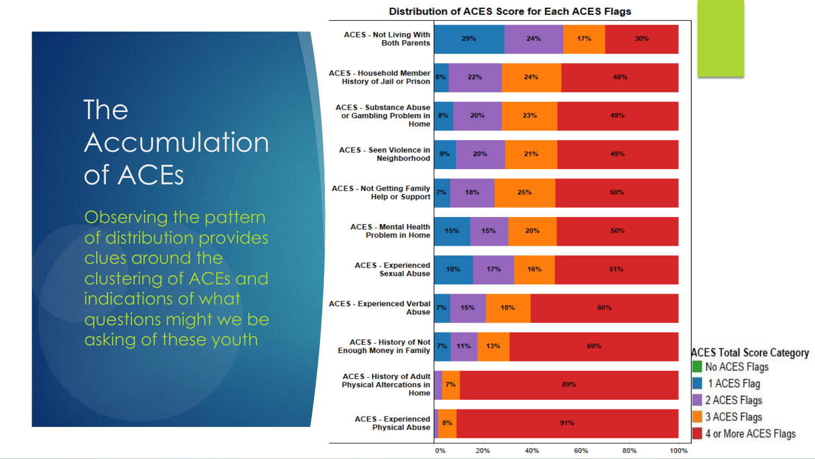### The Accumulation of ACEs

Observing the pattern of distribution provides clues around the clustering of ACEs and indications of what questions might we be asking of these youth

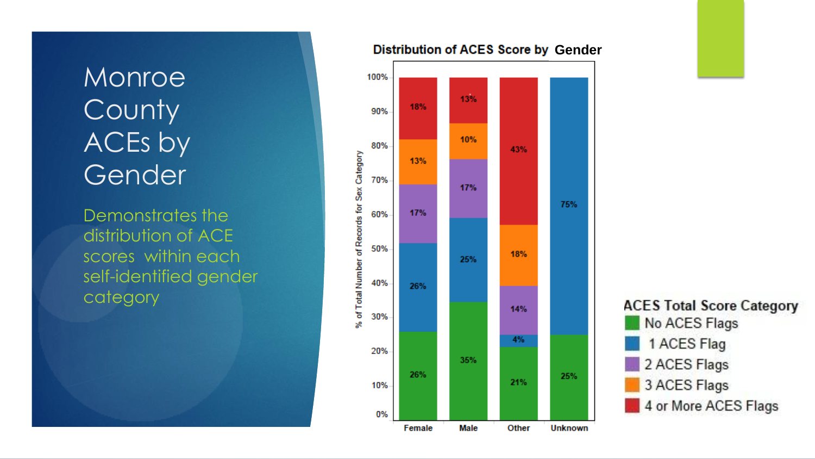### Monroe **County** ACEs by Gender

Demonstrates the distribution of ACE scores within each self -identified gender category





#### **Distribution of ACES Score by Gender**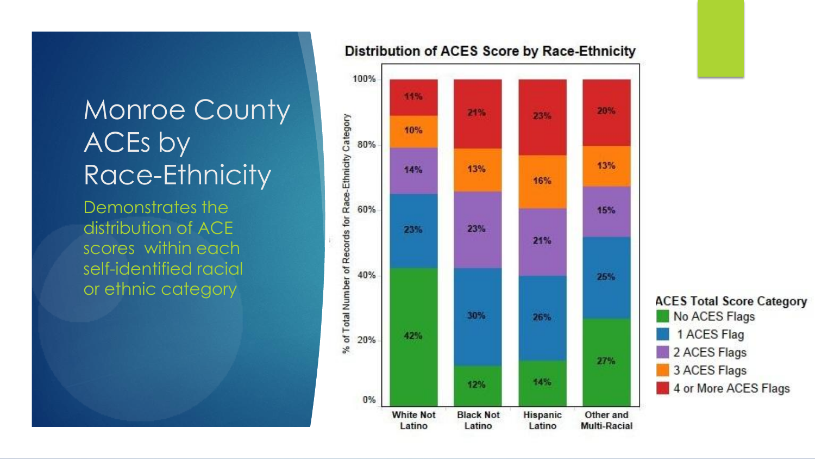### Monroe County ACEs by Race-Ethnicity

Demonstrates the distribution of ACE scores within each self-identified racial or ethnic category



#### Distribution of ACES Score by Race-Ethnicity

**ACES Total Score Category** No ACES Flags 1 ACES Flag 2 ACES Flags 3 ACES Flags 4 or More ACES Flags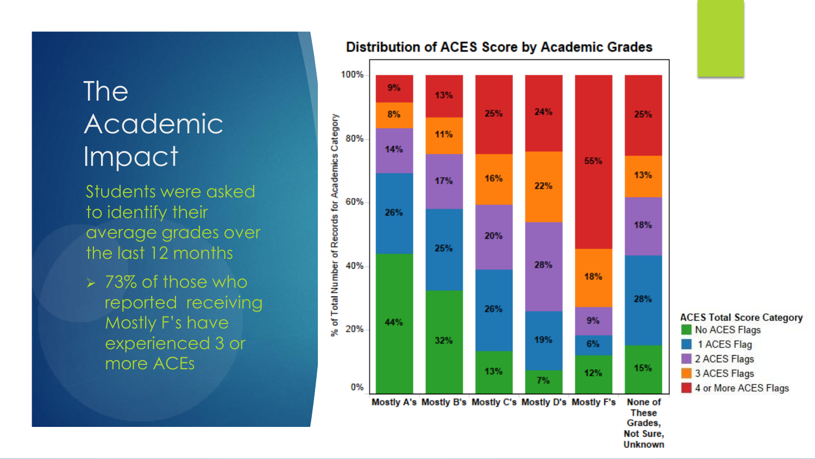### The Academic Impact

Students were asked to identify their average grades over the last 12 months

 $> 73\%$  of those who reported receiving Mostly F's have experienced 3 or more ACEs



#### **Distribution of ACES Score by Academic Grades**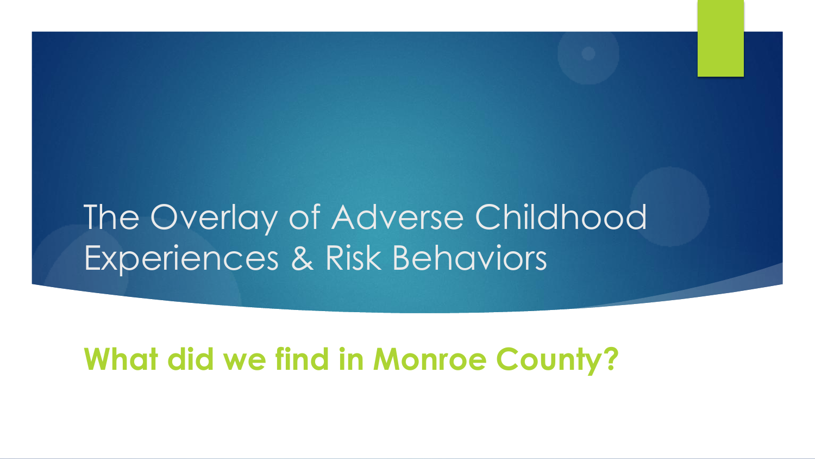# The Overlay of Adverse Childhood Experiences & Risk Behaviors

### **What did we find in Monroe County?**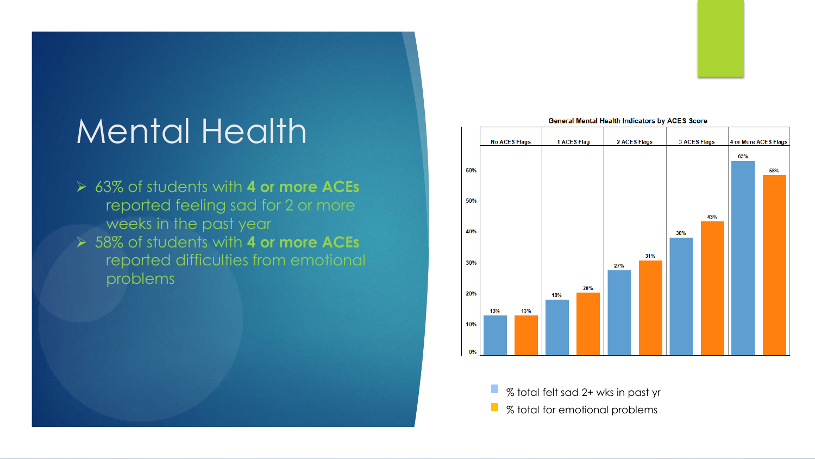## Mental Health

 63% of students with **4 or more ACEs** reported feeling sad for 2 or more weeks in the past year 58% of students with **4 or more ACEs** reported difficulties from emotional problems



% total felt sad 2+ wks in past yr  $\mathcal{L}_{\mathcal{A}}$  $\Box$ % total for emotional problems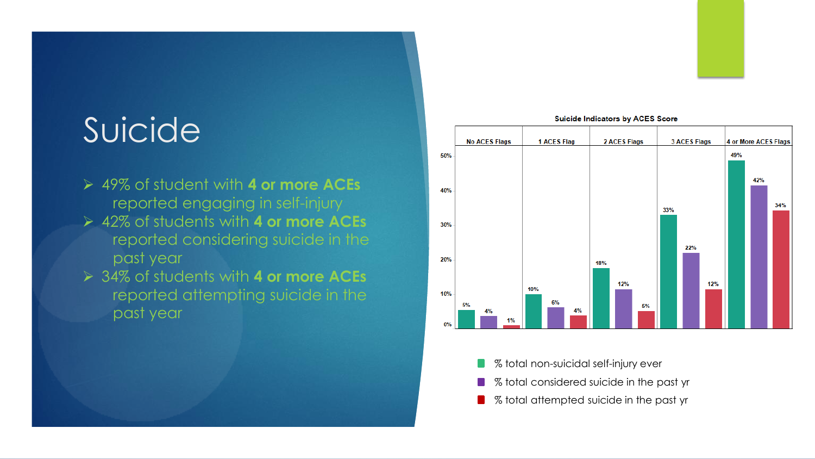# Suicide

- 49% of student with **4 or more ACEs** reported engaging in self-injury
- 42% of students with **4 or more ACEs** reported considering suicide in the past year
- 34% of students with **4 or more ACEs** reported attempting suicide in the past year



**Suicide Indicators by ACES Score** 

- % total non-suicidal self-injury ever
- % total considered suicide in the past yr
- % total attempted suicide in the past yr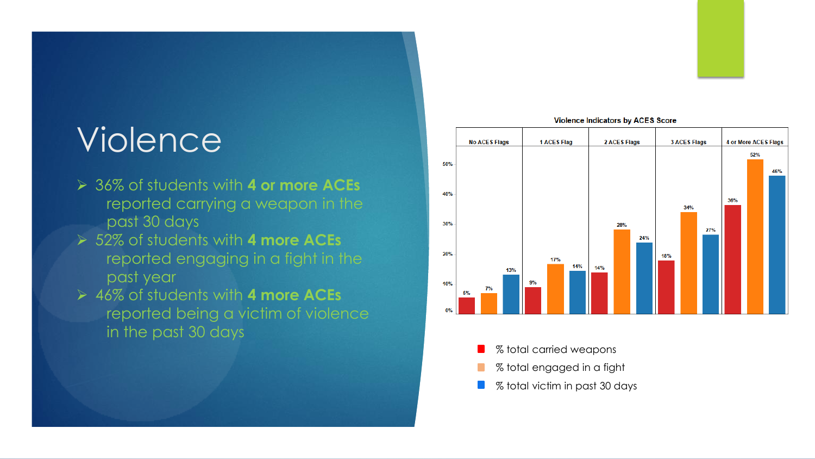# Violence

- 36% of students with **4 or more ACEs**  reported carrying a weapon in the past 30 days
- 52% of students with **4 more ACEs** reported engaging in a fight in the past year
- 46% of students with **4 more ACEs**  reported being a victim of violence in the past 30 days



#### **Violence Indicators by ACES Score**

% total victim in past 30 days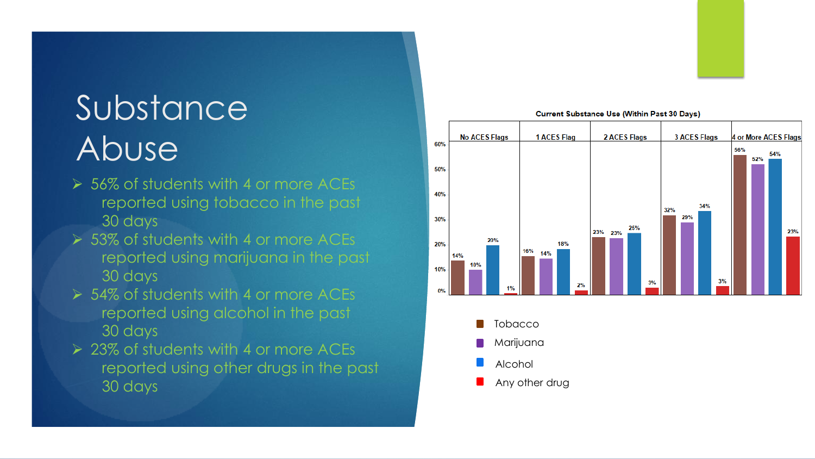# Substance Abuse

- 56% of students with 4 or more ACEs reported using tobacco in the past 30 days
- **► 53% of students with 4 or more ACEs** reported using marijuana in the past 30 days
- ▶ 54% of students with 4 or more ACEs reported using alcohol in the past 30 days
- 23% of students with 4 or more ACEs reported using other drugs in the past 30 days

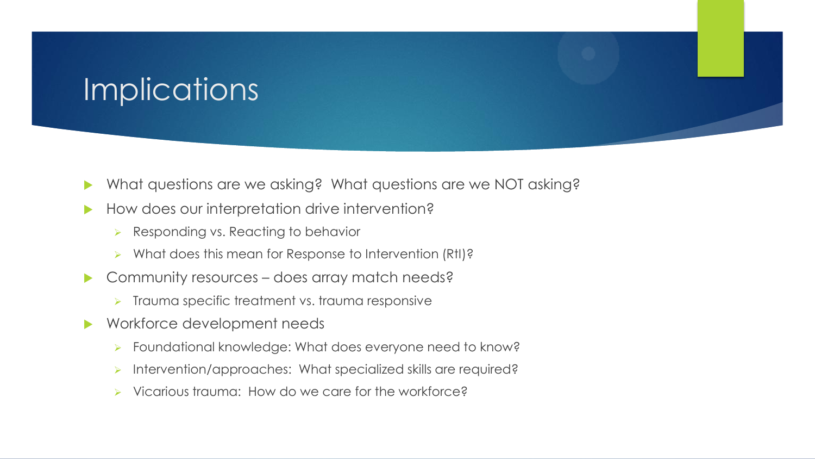### Implications

- What questions are we asking? What questions are we NOT asking?
- How does our interpretation drive intervention?
	- $\triangleright$  Responding vs. Reacting to behavior
	- ▶ What does this mean for Response to Intervention (RtI)?
- ▶ Community resources does array match needs?
	- $\triangleright$  Trauma specific treatment vs. trauma responsive
- ▶ Workforce development needs
	- Foundational knowledge: What does everyone need to know?
	- **Intervention/approaches: What specialized skills are required?**
	- Vicarious trauma: How do we care for the workforce?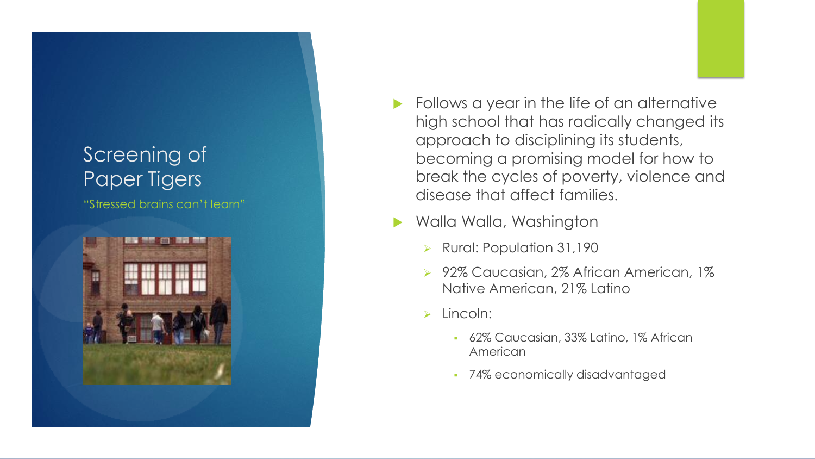### Screening of Paper Tigers

"Stressed brains can't learn"



- Follows a year in the life of an alternative high school that has radically changed its approach to disciplining its students, becoming a promising model for how to break the cycles of poverty, violence and disease that affect families.
- Walla Walla, Washington
	- ▶ Rural: Population 31,190
	- ▶ 92% Caucasian, 2% African American, 1% Native American, 21% Latino
	- $\triangleright$  Lincoln:
		- 62% Caucasian, 33% Latino, 1% African American
		- 74% economically disadvantaged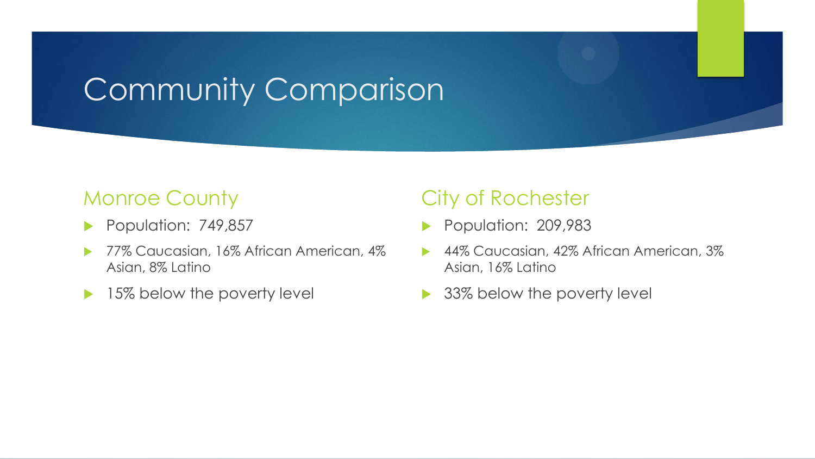## Community Comparison

### Monroe County

- Population: 749,857
- 77% Caucasian, 16% African American, 4% Asian, 8% Latino
- ▶ 15% below the poverty level

### City of Rochester

- Population: 209,983
- 44% Caucasian, 42% African American, 3% Asian, 16% Latino
- 33% below the poverty level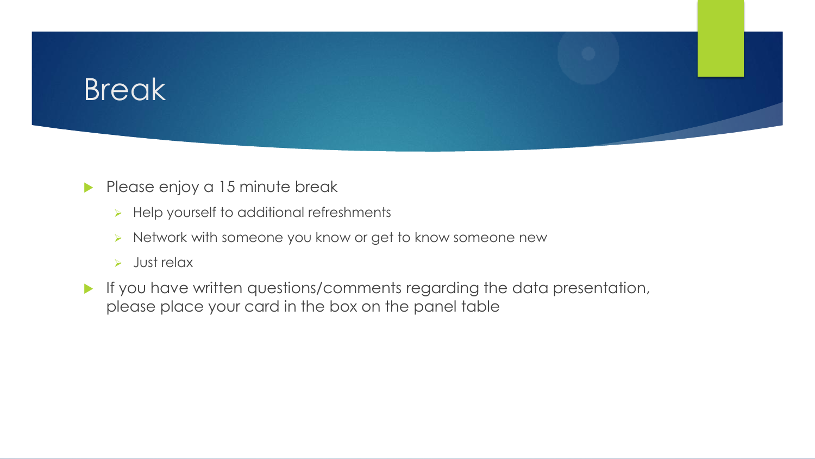### **Break**

#### Please enjoy a 15 minute break

- $\triangleright$  Help yourself to additional refreshments
- > Network with someone you know or get to know someone new
- $>$  Just relax
- If you have written questions/comments regarding the data presentation, please place your card in the box on the panel table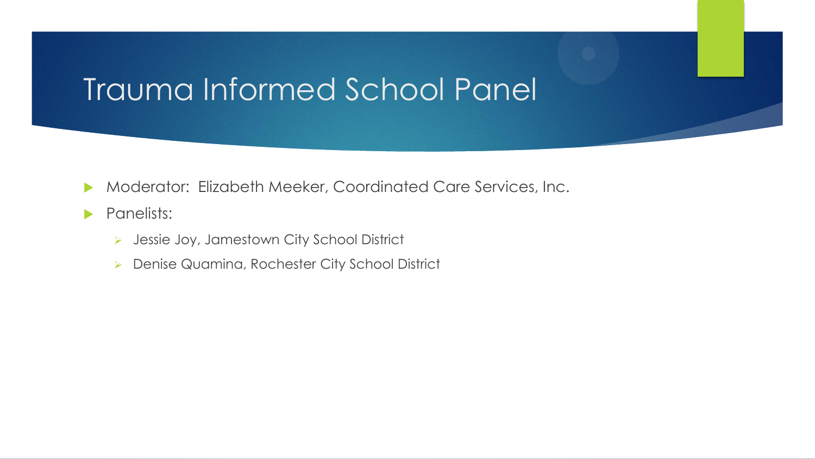### Trauma Informed School Panel

- Moderator: Elizabeth Meeker, Coordinated Care Services, Inc.
- **Panelists:** 
	- **>** Jessie Joy, Jamestown City School District
	- **Denise Quamina, Rochester City School District**